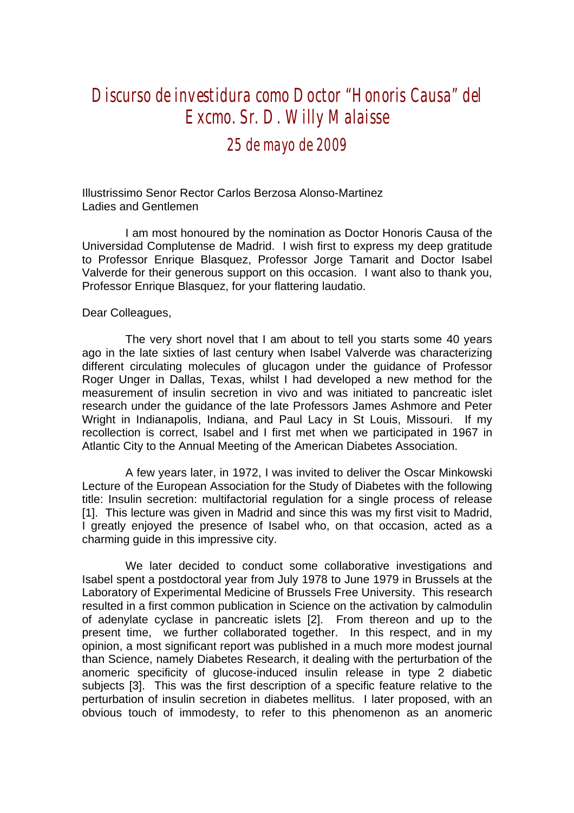## *Discurso de investidura como Doctor "Honoris Causa" del Excmo. Sr. D. Willy Malaisse*

## *25 de mayo de 2009*

Illustrissimo Senor Rector Carlos Berzosa Alonso-Martinez Ladies and Gentlemen

I am most honoured by the nomination as Doctor Honoris Causa of the Universidad Complutense de Madrid. I wish first to express my deep gratitude to Professor Enrique Blasquez, Professor Jorge Tamarit and Doctor Isabel Valverde for their generous support on this occasion. I want also to thank you, Professor Enrique Blasquez, for your flattering laudatio.

## Dear Colleagues,

The very short novel that I am about to tell you starts some 40 years ago in the late sixties of last century when Isabel Valverde was characterizing different circulating molecules of glucagon under the guidance of Professor Roger Unger in Dallas, Texas, whilst I had developed a new method for the measurement of insulin secretion in vivo and was initiated to pancreatic islet research under the guidance of the late Professors James Ashmore and Peter Wright in Indianapolis, Indiana, and Paul Lacy in St Louis, Missouri. If my recollection is correct, Isabel and I first met when we participated in 1967 in Atlantic City to the Annual Meeting of the American Diabetes Association.

A few years later, in 1972, I was invited to deliver the Oscar Minkowski Lecture of the European Association for the Study of Diabetes with the following title: Insulin secretion: multifactorial regulation for a single process of release [1]. This lecture was given in Madrid and since this was my first visit to Madrid, I greatly enjoyed the presence of Isabel who, on that occasion, acted as a charming guide in this impressive city.

We later decided to conduct some collaborative investigations and Isabel spent a postdoctoral year from July 1978 to June 1979 in Brussels at the Laboratory of Experimental Medicine of Brussels Free University. This research resulted in a first common publication in Science on the activation by calmodulin of adenylate cyclase in pancreatic islets [2]. From thereon and up to the present time, we further collaborated together. In this respect, and in my opinion, a most significant report was published in a much more modest journal than Science, namely Diabetes Research, it dealing with the perturbation of the anomeric specificity of glucose-induced insulin release in type 2 diabetic subjects [3]. This was the first description of a specific feature relative to the perturbation of insulin secretion in diabetes mellitus. I later proposed, with an obvious touch of immodesty, to refer to this phenomenon as an anomeric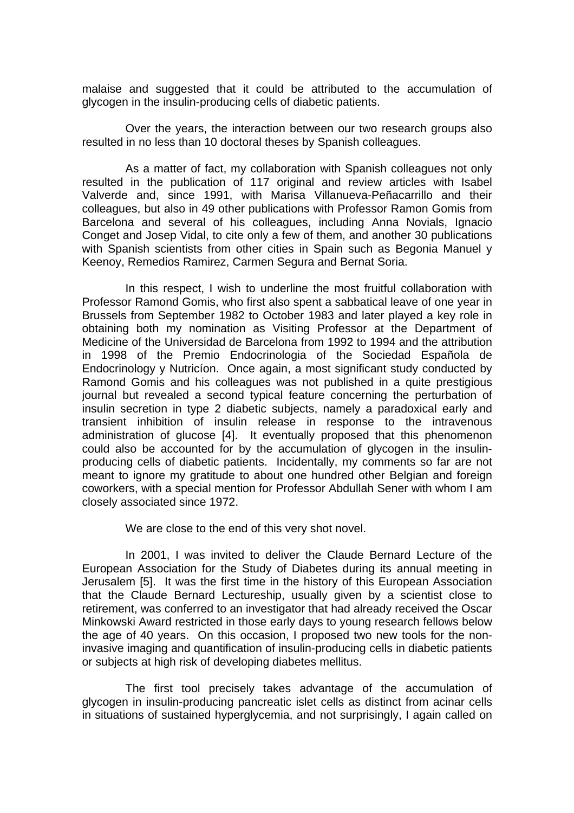malaise and suggested that it could be attributed to the accumulation of glycogen in the insulin-producing cells of diabetic patients.

Over the years, the interaction between our two research groups also resulted in no less than 10 doctoral theses by Spanish colleagues.

As a matter of fact, my collaboration with Spanish colleagues not only resulted in the publication of 117 original and review articles with Isabel Valverde and, since 1991, with Marisa Villanueva-Peñacarrillo and their colleagues, but also in 49 other publications with Professor Ramon Gomis from Barcelona and several of his colleagues, including Anna Novials, Ignacio Conget and Josep Vidal, to cite only a few of them, and another 30 publications with Spanish scientists from other cities in Spain such as Begonia Manuel y Keenoy, Remedios Ramirez, Carmen Segura and Bernat Soria.

In this respect, I wish to underline the most fruitful collaboration with Professor Ramond Gomis, who first also spent a sabbatical leave of one year in Brussels from September 1982 to October 1983 and later played a key role in obtaining both my nomination as Visiting Professor at the Department of Medicine of the Universidad de Barcelona from 1992 to 1994 and the attribution in 1998 of the Premio Endocrinologia of the Sociedad Española de Endocrinology y Nutricíon. Once again, a most significant study conducted by Ramond Gomis and his colleagues was not published in a quite prestigious journal but revealed a second typical feature concerning the perturbation of insulin secretion in type 2 diabetic subjects, namely a paradoxical early and transient inhibition of insulin release in response to the intravenous administration of glucose [4]. It eventually proposed that this phenomenon could also be accounted for by the accumulation of glycogen in the insulinproducing cells of diabetic patients. Incidentally, my comments so far are not meant to ignore my gratitude to about one hundred other Belgian and foreign coworkers, with a special mention for Professor Abdullah Sener with whom I am closely associated since 1972.

We are close to the end of this very shot novel.

In 2001, I was invited to deliver the Claude Bernard Lecture of the European Association for the Study of Diabetes during its annual meeting in Jerusalem [5]. It was the first time in the history of this European Association that the Claude Bernard Lectureship, usually given by a scientist close to retirement, was conferred to an investigator that had already received the Oscar Minkowski Award restricted in those early days to young research fellows below the age of 40 years. On this occasion, I proposed two new tools for the noninvasive imaging and quantification of insulin-producing cells in diabetic patients or subjects at high risk of developing diabetes mellitus.

The first tool precisely takes advantage of the accumulation of glycogen in insulin-producing pancreatic islet cells as distinct from acinar cells in situations of sustained hyperglycemia, and not surprisingly, I again called on